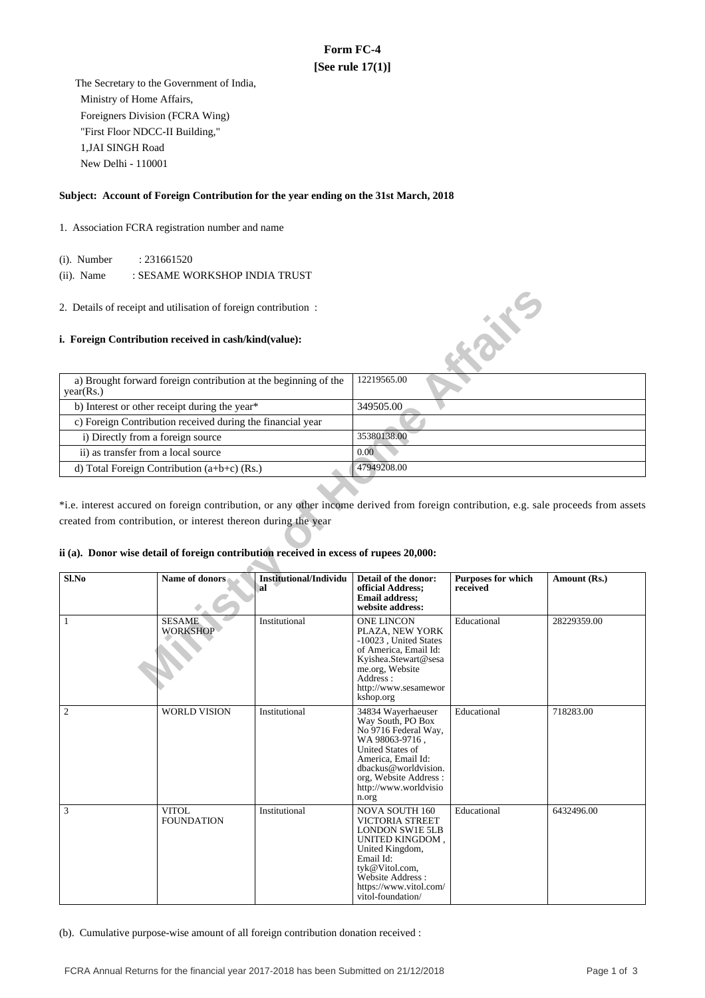# **Form FC-4 [See rule 17(1)]**

 The Secretary to the Government of India, Ministry of Home Affairs, Foreigners Division (FCRA Wing) "First Floor NDCC-II Building," 1,JAI SINGH Road New Delhi - 110001

## **Subject: Account of Foreign Contribution for the year ending on the 31st March, 2018**

- 1. Association FCRA registration number and name
	- (i). Number : 231661520
	- (ii). Name : SESAME WORKSHOP INDIA TRUST
- 2. Details of receipt and utilisation of foreign contribution :

### **i. Foreign Contribution received in cash/kind(value):**

| a) Brought forward foreign contribution at the beginning of the<br>year(Rs.) | 12219565.00 |
|------------------------------------------------------------------------------|-------------|
| b) Interest or other receipt during the year*                                | 349505.00   |
| c) Foreign Contribution received during the financial year                   |             |
| i) Directly from a foreign source                                            | 35380138.00 |
| ii) as transfer from a local source                                          | 0.00        |
| d) Total Foreign Contribution $(a+b+c)$ (Rs.)                                | 47949208.00 |

### **ii (a). Donor wise detail of foreign contribution received in excess of rupees 20,000:**

| 2. Details of receipt and utilisation of foreign contribution :                                                                                          |                                                                 |                                            |                                                                                                                                                                                                                   |                                       |                                                                                                                                       |  |
|----------------------------------------------------------------------------------------------------------------------------------------------------------|-----------------------------------------------------------------|--------------------------------------------|-------------------------------------------------------------------------------------------------------------------------------------------------------------------------------------------------------------------|---------------------------------------|---------------------------------------------------------------------------------------------------------------------------------------|--|
| i. Foreign Contribution received in cash/kind(value):                                                                                                    |                                                                 |                                            |                                                                                                                                                                                                                   | <b>KONE</b>                           |                                                                                                                                       |  |
| year(Rs.)                                                                                                                                                | a) Brought forward foreign contribution at the beginning of the |                                            | 12219565.00                                                                                                                                                                                                       |                                       |                                                                                                                                       |  |
|                                                                                                                                                          | b) Interest or other receipt during the year*                   |                                            | 349505.00                                                                                                                                                                                                         |                                       |                                                                                                                                       |  |
|                                                                                                                                                          | c) Foreign Contribution received during the financial year      |                                            |                                                                                                                                                                                                                   |                                       |                                                                                                                                       |  |
| i) Directly from a foreign source                                                                                                                        |                                                                 |                                            | 35380138.00                                                                                                                                                                                                       |                                       |                                                                                                                                       |  |
| ii) as transfer from a local source                                                                                                                      |                                                                 |                                            | 0.00                                                                                                                                                                                                              |                                       |                                                                                                                                       |  |
|                                                                                                                                                          | d) Total Foreign Contribution $(a+b+c)$ (Rs.)                   |                                            | 47949208.00                                                                                                                                                                                                       |                                       |                                                                                                                                       |  |
| created from contribution, or interest thereon during the year<br>ii (a). Donor wise detail of foreign contribution received in excess of rupees 20,000: |                                                                 |                                            |                                                                                                                                                                                                                   |                                       | *i.e. interest accured on foreign contribution, or any other income derived from foreign contribution, e.g. sale proceeds from assets |  |
| Sl.No                                                                                                                                                    | Name of donors                                                  | <b>Institutional/Individu</b><br><b>al</b> | Detail of the donor:<br>official Address;<br><b>Email address:</b><br>website address:                                                                                                                            | <b>Purposes for which</b><br>received | Amount (Rs.)                                                                                                                          |  |
| $\mathbf{1}$                                                                                                                                             | <b>SESAME</b><br><b>WORKSHOP</b>                                | Institutional                              | <b>ONE LINCON</b><br>PLAZA, NEW YORK<br>-10023, United States<br>of America. Email Id:<br>Kyishea.Stewart@sesa<br>me.org, Website<br>Address:<br>http://www.sesamewor<br>kshop.org                                | Educational                           | 28229359.00                                                                                                                           |  |
| $\overline{c}$                                                                                                                                           | <b>WORLD VISION</b>                                             | Institutional                              | 34834 Wayerhaeuser<br>Way South, PO Box<br>No 9716 Federal Way,<br>WA 98063-9716,<br>United States of<br>America, Email Id:<br>dbackus@worldvision.<br>org, Website Address:<br>http://www.worldvisio<br>n.org    | Educational                           | 718283.00                                                                                                                             |  |
| 3                                                                                                                                                        | <b>VITOL</b><br><b>FOUNDATION</b>                               | Institutional                              | <b>NOVA SOUTH 160</b><br><b>VICTORIA STREET</b><br><b>LONDON SW1E 5LB</b><br>UNITED KINGDOM,<br>United Kingdom,<br>Email Id:<br>tyk@Vitol.com,<br>Website Address:<br>https://www.vitol.com/<br>vitol-foundation/ | Educational                           | 6432496.00                                                                                                                            |  |

(b). Cumulative purpose-wise amount of all foreign contribution donation received :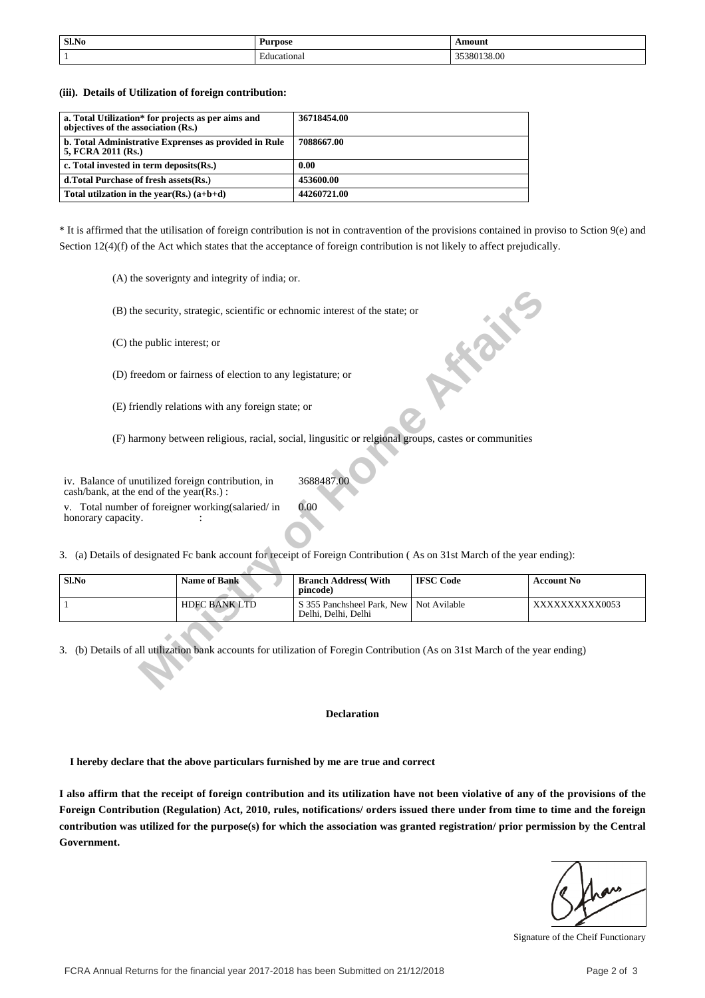| Sl.No | Ð<br>Purpose     | \moun\                 |
|-------|------------------|------------------------|
|       | cational<br>:duc | 38.00<br>00120<br>ว8เ. |

**(iii). Details of Utilization of foreign contribution:**

| a. Total Utilization* for projects as per aims and<br>objectives of the association (Rs.) | 36718454.00 |
|-------------------------------------------------------------------------------------------|-------------|
| b. Total Administrative Exprenses as provided in Rule<br>5, FCRA 2011 (Rs.)               | 7088667.00  |
| c. Total invested in term deposits (Rs.)                                                  | 0.00        |
| d. Total Purchase of fresh assets (Rs.)                                                   | 453600.00   |
| Total utilization in the year(Rs.) $(a+b+d)$                                              | 44260721.00 |

\* It is affirmed that the utilisation of foreign contribution is not in contravention of the provisions contained in proviso to Sction 9(e) and Section 12(4)(f) of the Act which states that the acceptance of foreign contribution is not likely to affect prejudically.

(A) the soverignty and integrity of india; or.

| (B) the security, strategic, scientific or echnomic interest of the state; or                                                 |                      |                                                                                                      |                  |                   |  |  |
|-------------------------------------------------------------------------------------------------------------------------------|----------------------|------------------------------------------------------------------------------------------------------|------------------|-------------------|--|--|
| <b>18.15</b><br>(C) the public interest; or                                                                                   |                      |                                                                                                      |                  |                   |  |  |
| (D) freedom or fairness of election to any legistature; or                                                                    |                      |                                                                                                      |                  |                   |  |  |
| (E) friendly relations with any foreign state; or                                                                             |                      |                                                                                                      |                  |                   |  |  |
|                                                                                                                               |                      | (F) harmony between religious, racial, social, lingusitic or relgional groups, castes or communities |                  |                   |  |  |
| iv. Balance of unutilized foreign contribution, in<br>cash/bank, at the end of the year(Rs.):                                 |                      | 3688487.00                                                                                           |                  |                   |  |  |
| 0.00<br>v. Total number of foreigner working (salaried/in<br>honorary capacity.                                               |                      |                                                                                                      |                  |                   |  |  |
| 3. (a) Details of designated Fc bank account for receipt of Foreign Contribution (As on 31st March of the year ending):       |                      |                                                                                                      |                  |                   |  |  |
| Sl.No                                                                                                                         | <b>Name of Bank</b>  | <b>Branch Address</b> (With<br>pincode)                                                              | <b>IFSC Code</b> | <b>Account No</b> |  |  |
| 1                                                                                                                             | <b>HDFC BANK LTD</b> | S 355 Panchsheel Park, New<br>Delhi, Delhi, Delhi                                                    | Not Avilable     | XXXXXXXXXX0053    |  |  |
| 3. (b) Details of all utilization bank accounts for utilization of Foregin Contribution (As on 31st March of the year ending) |                      |                                                                                                      |                  |                   |  |  |

#### **Declaration**

 **I hereby declare that the above particulars furnished by me are true and correct**

**I also affirm that the receipt of foreign contribution and its utilization have not been violative of any of the provisions of the Foreign Contribution (Regulation) Act, 2010, rules, notifications/ orders issued there under from time to time and the foreign contribution was utilized for the purpose(s) for which the association was granted registration/ prior permission by the Central Government.**

Signature of the Cheif Functionary